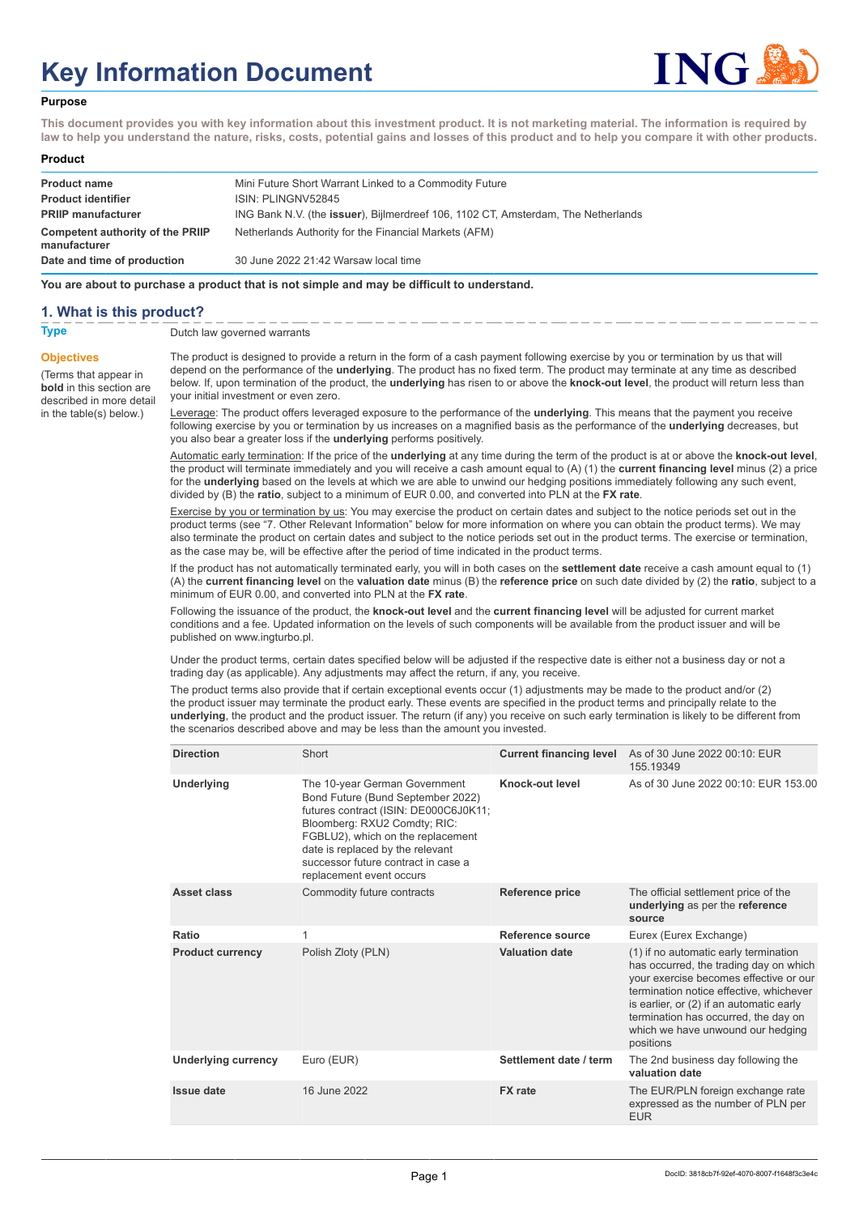# **Key Information Document**



### **Purpose**

**This document provides you with key information about this investment product. It is not marketing material. The information is required by law to help you understand the nature, risks, costs, potential gains and losses of this product and to help you compare it with other products.**

#### **Product**

| <b>Product name</b><br><b>Product identifier</b> | Mini Future Short Warrant Linked to a Commodity Future<br>ISIN: PLINGNV52845              |
|--------------------------------------------------|-------------------------------------------------------------------------------------------|
| <b>PRIIP manufacturer</b>                        | ING Bank N.V. (the <b>issuer</b> ), Bijlmerdreef 106, 1102 CT, Amsterdam, The Netherlands |
| Competent authority of the PRIIP<br>manufacturer | Netherlands Authority for the Financial Markets (AFM)                                     |
| Date and time of production                      | 30 June 2022 21:42 Warsaw local time                                                      |

**You are about to purchase a product that is not simple and may be difficult to understand.**

## **1. What is this product?**

**Objectives**

(Terms that appear in **bold** in this section are

in the table(s) below.)

**Type** Dutch law governed warrants

described in more detail The product is designed to provide a return in the form of a cash payment following exercise by you or termination by us that will depend on the performance of the **underlying**. The product has no fixed term. The product may terminate at any time as described below. If, upon termination of the product, the **underlying** has risen to or above the **knock-out level**, the product will return less than your initial investment or even zero.

Leverage: The product offers leveraged exposure to the performance of the **underlying**. This means that the payment you receive following exercise by you or termination by us increases on a magnified basis as the performance of the **underlying** decreases, but you also bear a greater loss if the **underlying** performs positively.

Automatic early termination: If the price of the **underlying** at any time during the term of the product is at or above the **knock-out level**, the product will terminate immediately and you will receive a cash amount equal to (A) (1) the **current financing level** minus (2) a price for the **underlying** based on the levels at which we are able to unwind our hedging positions immediately following any such event, divided by (B) the **ratio**, subject to a minimum of EUR 0.00, and converted into PLN at the **FX rate**.

Exercise by you or termination by us: You may exercise the product on certain dates and subject to the notice periods set out in the product terms (see "7. Other Relevant Information" below for more information on where you can obtain the product terms). We may also terminate the product on certain dates and subject to the notice periods set out in the product terms. The exercise or termination, as the case may be, will be effective after the period of time indicated in the product terms.

If the product has not automatically terminated early, you will in both cases on the **settlement date** receive a cash amount equal to (1) (A) the **current financing level** on the **valuation date** minus (B) the **reference price** on such date divided by (2) the **ratio**, subject to a minimum of EUR 0.00, and converted into PLN at the **FX rate**.

Following the issuance of the product, the **knock-out level** and the **current financing level** will be adjusted for current market conditions and a fee. Updated information on the levels of such components will be available from the product issuer and will be published on www.ingturbo.pl.

Under the product terms, certain dates specified below will be adjusted if the respective date is either not a business day or not a trading day (as applicable). Any adjustments may affect the return, if any, you receive.

The product terms also provide that if certain exceptional events occur (1) adjustments may be made to the product and/or (2) the product issuer may terminate the product early. These events are specified in the product terms and principally relate to the **underlying**, the product and the product issuer. The return (if any) you receive on such early termination is likely to be different from the scenarios described above and may be less than the amount you invested.

| <b>Direction</b>           | Short                                                                                                                                                                                                                                                                                   | <b>Current financing level</b> | As of 30 June 2022 00:10: EUR<br>155.19349                                                                                                                                                                                                                                                                 |
|----------------------------|-----------------------------------------------------------------------------------------------------------------------------------------------------------------------------------------------------------------------------------------------------------------------------------------|--------------------------------|------------------------------------------------------------------------------------------------------------------------------------------------------------------------------------------------------------------------------------------------------------------------------------------------------------|
| Underlying                 | The 10-year German Government<br>Bond Future (Bund September 2022)<br>futures contract (ISIN: DE000C6J0K11;<br>Bloomberg: RXU2 Comdty; RIC:<br>FGBLU2), which on the replacement<br>date is replaced by the relevant<br>successor future contract in case a<br>replacement event occurs | Knock-out level                | As of 30 June 2022 00:10: EUR 153.00                                                                                                                                                                                                                                                                       |
| <b>Asset class</b>         | Commodity future contracts                                                                                                                                                                                                                                                              | Reference price                | The official settlement price of the<br>underlying as per the reference<br>source                                                                                                                                                                                                                          |
| Ratio                      | 1                                                                                                                                                                                                                                                                                       | Reference source               | Eurex (Eurex Exchange)                                                                                                                                                                                                                                                                                     |
| <b>Product currency</b>    | Polish Zloty (PLN)                                                                                                                                                                                                                                                                      | <b>Valuation date</b>          | (1) if no automatic early termination<br>has occurred, the trading day on which<br>your exercise becomes effective or our<br>termination notice effective, whichever<br>is earlier, or (2) if an automatic early<br>termination has occurred, the day on<br>which we have unwound our hedging<br>positions |
| <b>Underlying currency</b> | Euro (EUR)                                                                                                                                                                                                                                                                              | Settlement date / term         | The 2nd business day following the<br>valuation date                                                                                                                                                                                                                                                       |
| <b>Issue date</b>          | 16 June 2022                                                                                                                                                                                                                                                                            | <b>FX</b> rate                 | The EUR/PLN foreign exchange rate<br>expressed as the number of PLN per<br><b>EUR</b>                                                                                                                                                                                                                      |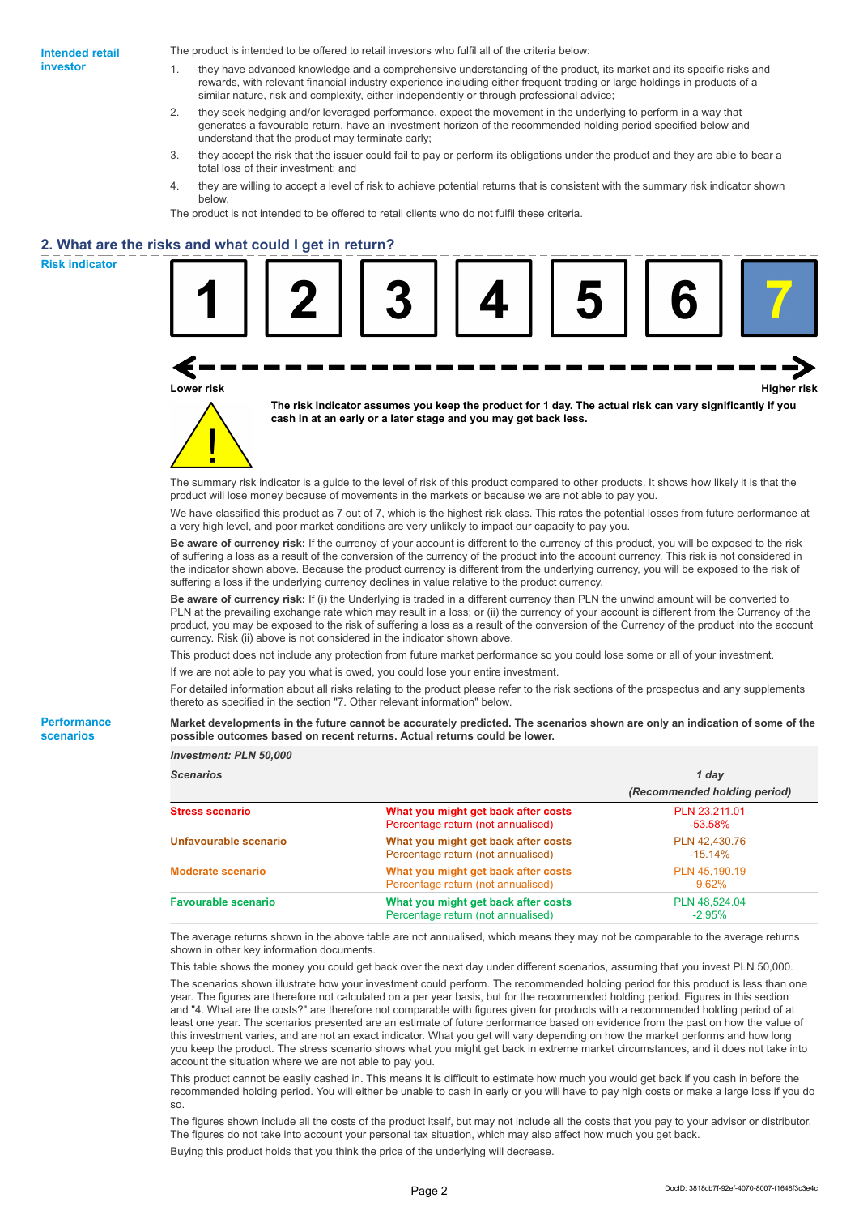The product is intended to be offered to retail investors who fulfil all of the criteria below:

- 1. they have advanced knowledge and a comprehensive understanding of the product, its market and its specific risks and rewards, with relevant financial industry experience including either frequent trading or large holdings in products of a similar nature, risk and complexity, either independently or through professional advice;
- 2. they seek hedging and/or leveraged performance, expect the movement in the underlying to perform in a way that generates a favourable return, have an investment horizon of the recommended holding period specified below and understand that the product may terminate early;
- 3. they accept the risk that the issuer could fail to pay or perform its obligations under the product and they are able to bear a total loss of their investment; and
- 4. they are willing to accept a level of risk to achieve potential returns that is consistent with the summary risk indicator shown below.

The product is not intended to be offered to retail clients who do not fulfil these criteria.

## **2. What are the risks and what could I get in return?**

**Risk indicator**

**Performance scenarios**



The summary risk indicator is a guide to the level of risk of this product compared to other products. It shows how likely it is that the product will lose money because of movements in the markets or because we are not able to pay you.

We have classified this product as 7 out of 7, which is the highest risk class. This rates the potential losses from future performance at a very high level, and poor market conditions are very unlikely to impact our capacity to pay you.

**Be aware of currency risk:** If the currency of your account is different to the currency of this product, you will be exposed to the risk of suffering a loss as a result of the conversion of the currency of the product into the account currency. This risk is not considered in the indicator shown above. Because the product currency is different from the underlying currency, you will be exposed to the risk of suffering a loss if the underlying currency declines in value relative to the product currency.

**Be aware of currency risk:** If (i) the Underlying is traded in a different currency than PLN the unwind amount will be converted to PLN at the prevailing exchange rate which may result in a loss; or (ii) the currency of your account is different from the Currency of the product, you may be exposed to the risk of suffering a loss as a result of the conversion of the Currency of the product into the account currency. Risk (ii) above is not considered in the indicator shown above.

This product does not include any protection from future market performance so you could lose some or all of your investment.

If we are not able to pay you what is owed, you could lose your entire investment.

For detailed information about all risks relating to the product please refer to the risk sections of the prospectus and any supplements thereto as specified in the section "7. Other relevant information" below.

#### **Market developments in the future cannot be accurately predicted. The scenarios shown are only an indication of some of the possible outcomes based on recent returns. Actual returns could be lower.**

| <b>Scenarios</b>           |                                                                           | 1 day                        |
|----------------------------|---------------------------------------------------------------------------|------------------------------|
|                            |                                                                           | (Recommended holding period) |
| <b>Stress scenario</b>     | What you might get back after costs<br>Percentage return (not annualised) | PLN 23.211.01<br>$-53.58\%$  |
| Unfavourable scenario      | What you might get back after costs<br>Percentage return (not annualised) | PLN 42.430.76<br>$-15.14%$   |
| <b>Moderate scenario</b>   | What you might get back after costs<br>Percentage return (not annualised) | PLN 45.190.19<br>$-9.62\%$   |
| <b>Favourable scenario</b> | What you might get back after costs<br>Percentage return (not annualised) | PLN 48.524.04<br>$-2.95%$    |

The average returns shown in the above table are not annualised, which means they may not be comparable to the average returns shown in other key information documents.

This table shows the money you could get back over the next day under different scenarios, assuming that you invest PLN 50,000.

The scenarios shown illustrate how your investment could perform. The recommended holding period for this product is less than one year. The figures are therefore not calculated on a per year basis, but for the recommended holding period. Figures in this section and "4. What are the costs?" are therefore not comparable with figures given for products with a recommended holding period of at least one year. The scenarios presented are an estimate of future performance based on evidence from the past on how the value of this investment varies, and are not an exact indicator. What you get will vary depending on how the market performs and how long you keep the product. The stress scenario shows what you might get back in extreme market circumstances, and it does not take into account the situation where we are not able to pay you.

This product cannot be easily cashed in. This means it is difficult to estimate how much you would get back if you cash in before the recommended holding period. You will either be unable to cash in early or you will have to pay high costs or make a large loss if you do so.

The figures shown include all the costs of the product itself, but may not include all the costs that you pay to your advisor or distributor. The figures do not take into account your personal tax situation, which may also affect how much you get back. Buying this product holds that you think the price of the underlying will decrease.